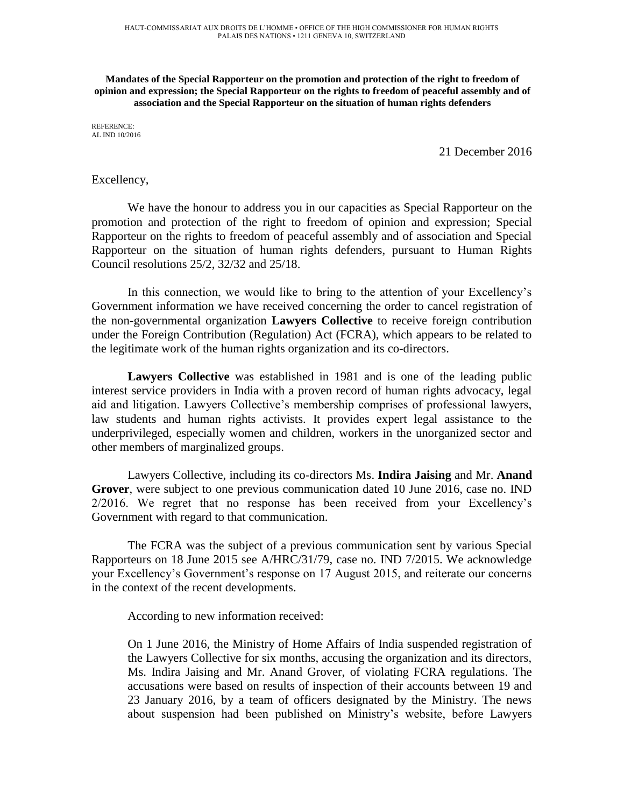**Mandates of the Special Rapporteur on the promotion and protection of the right to freedom of opinion and expression; the Special Rapporteur on the rights to freedom of peaceful assembly and of association and the Special Rapporteur on the situation of human rights defenders**

REFERENCE: AL IND 10/2016

21 December 2016

## Excellency,

We have the honour to address you in our capacities as Special Rapporteur on the promotion and protection of the right to freedom of opinion and expression; Special Rapporteur on the rights to freedom of peaceful assembly and of association and Special Rapporteur on the situation of human rights defenders, pursuant to Human Rights Council resolutions 25/2, 32/32 and 25/18.

In this connection, we would like to bring to the attention of your Excellency's Government information we have received concerning the order to cancel registration of the non-governmental organization **Lawyers Collective** to receive foreign contribution under the Foreign Contribution (Regulation) Act (FCRA), which appears to be related to the legitimate work of the human rights organization and its co-directors.

**Lawyers Collective** was established in 1981 and is one of the leading public interest service providers in India with a proven record of human rights advocacy, legal aid and litigation. Lawyers Collective's membership comprises of professional lawyers, law students and human rights activists. It provides expert legal assistance to the underprivileged, especially women and children, workers in the unorganized sector and other members of marginalized groups.

Lawyers Collective, including its co-directors Ms. **Indira Jaising** and Mr. **Anand Grover**, were subject to one previous communication dated 10 June 2016, case no. IND 2/2016. We regret that no response has been received from your Excellency's Government with regard to that communication.

The FCRA was the subject of a previous communication sent by various Special Rapporteurs on 18 June 2015 see A/HRC/31/79, case no. IND 7/2015. We acknowledge your Excellency's Government's response on 17 August 2015, and reiterate our concerns in the context of the recent developments.

According to new information received:

On 1 June 2016, the Ministry of Home Affairs of India suspended registration of the Lawyers Collective for six months, accusing the organization and its directors, Ms. Indira Jaising and Mr. Anand Grover, of violating FCRA regulations. The accusations were based on results of inspection of their accounts between 19 and 23 January 2016, by a team of officers designated by the Ministry. The news about suspension had been published on Ministry's website, before Lawyers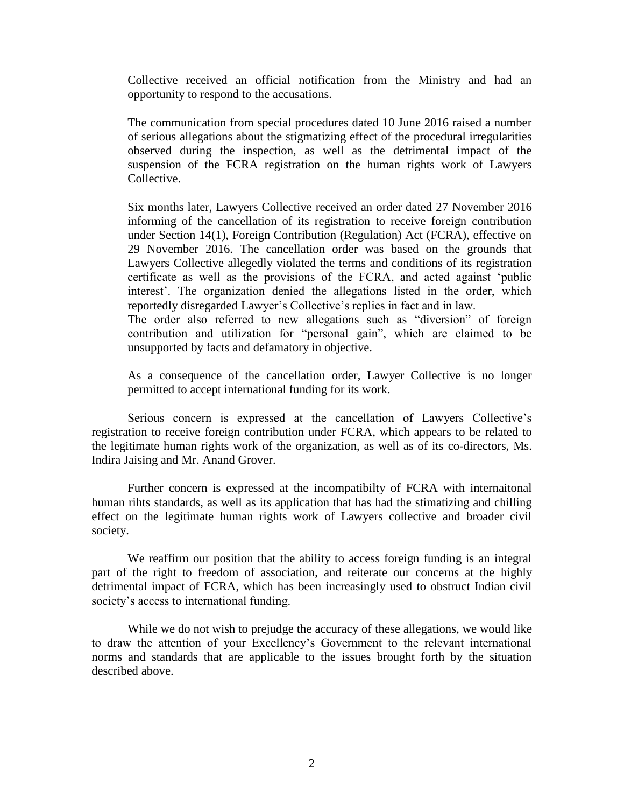Collective received an official notification from the Ministry and had an opportunity to respond to the accusations.

The communication from special procedures dated 10 June 2016 raised a number of serious allegations about the stigmatizing effect of the procedural irregularities observed during the inspection, as well as the detrimental impact of the suspension of the FCRA registration on the human rights work of Lawyers Collective.

Six months later, Lawyers Collective received an order dated 27 November 2016 informing of the cancellation of its registration to receive foreign contribution under Section 14(1), Foreign Contribution (Regulation) Act (FCRA), effective on 29 November 2016. The cancellation order was based on the grounds that Lawyers Collective allegedly violated the terms and conditions of its registration certificate as well as the provisions of the FCRA, and acted against 'public interest'. The organization denied the allegations listed in the order, which reportedly disregarded Lawyer's Collective's replies in fact and in law.

The order also referred to new allegations such as "diversion" of foreign contribution and utilization for "personal gain", which are claimed to be unsupported by facts and defamatory in objective.

As a consequence of the cancellation order, Lawyer Collective is no longer permitted to accept international funding for its work.

Serious concern is expressed at the cancellation of Lawyers Collective's registration to receive foreign contribution under FCRA, which appears to be related to the legitimate human rights work of the organization, as well as of its co-directors, Ms. Indira Jaising and Mr. Anand Grover.

Further concern is expressed at the incompatibilty of FCRA with internaitonal human rihts standards, as well as its application that has had the stimatizing and chilling effect on the legitimate human rights work of Lawyers collective and broader civil society.

We reaffirm our position that the ability to access foreign funding is an integral part of the right to freedom of association, and reiterate our concerns at the highly detrimental impact of FCRA, which has been increasingly used to obstruct Indian civil society's access to international funding.

While we do not wish to prejudge the accuracy of these allegations, we would like to draw the attention of your Excellency's Government to the relevant international norms and standards that are applicable to the issues brought forth by the situation described above.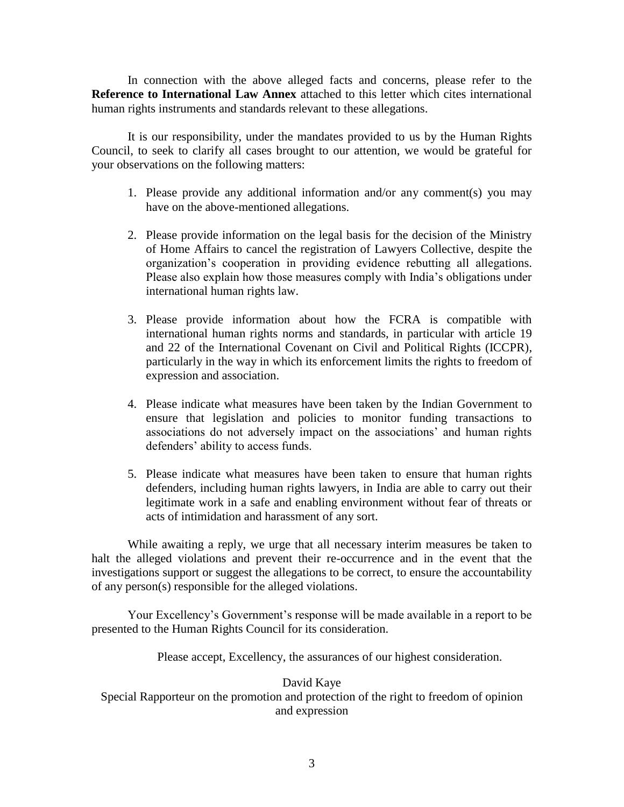In connection with the above alleged facts and concerns, please refer to the **Reference to International Law Annex** attached to this letter which cites international human rights instruments and standards relevant to these allegations.

It is our responsibility, under the mandates provided to us by the Human Rights Council, to seek to clarify all cases brought to our attention, we would be grateful for your observations on the following matters:

- 1. Please provide any additional information and/or any comment(s) you may have on the above-mentioned allegations.
- 2. Please provide information on the legal basis for the decision of the Ministry of Home Affairs to cancel the registration of Lawyers Collective, despite the organization's cooperation in providing evidence rebutting all allegations. Please also explain how those measures comply with India's obligations under international human rights law.
- 3. Please provide information about how the FCRA is compatible with international human rights norms and standards, in particular with article 19 and 22 of the International Covenant on Civil and Political Rights (ICCPR), particularly in the way in which its enforcement limits the rights to freedom of expression and association.
- 4. Please indicate what measures have been taken by the Indian Government to ensure that legislation and policies to monitor funding transactions to associations do not adversely impact on the associations' and human rights defenders' ability to access funds.
- 5. Please indicate what measures have been taken to ensure that human rights defenders, including human rights lawyers, in India are able to carry out their legitimate work in a safe and enabling environment without fear of threats or acts of intimidation and harassment of any sort.

While awaiting a reply, we urge that all necessary interim measures be taken to halt the alleged violations and prevent their re-occurrence and in the event that the investigations support or suggest the allegations to be correct, to ensure the accountability of any person(s) responsible for the alleged violations.

Your Excellency's Government's response will be made available in a report to be presented to the Human Rights Council for its consideration.

Please accept, Excellency, the assurances of our highest consideration.

## David Kaye

Special Rapporteur on the promotion and protection of the right to freedom of opinion and expression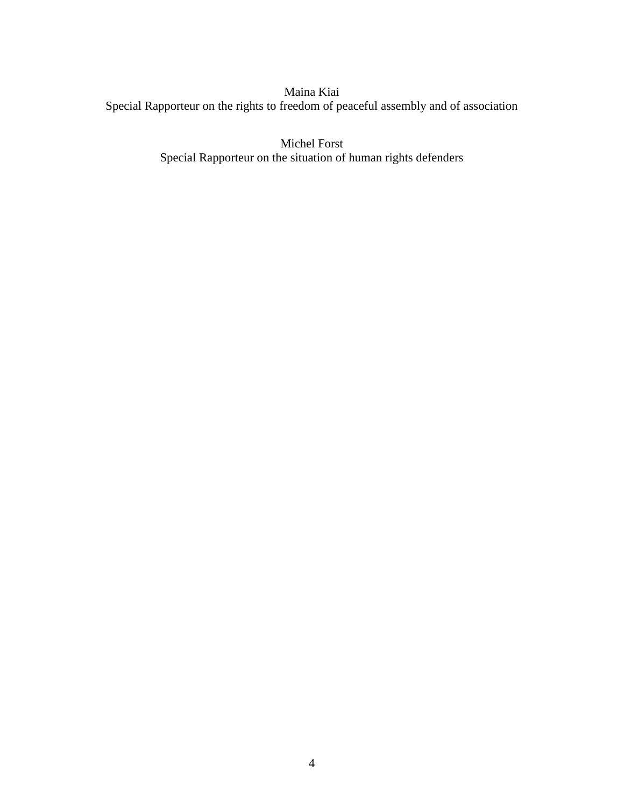Maina Kiai Special Rapporteur on the rights to freedom of peaceful assembly and of association

> Michel Forst Special Rapporteur on the situation of human rights defenders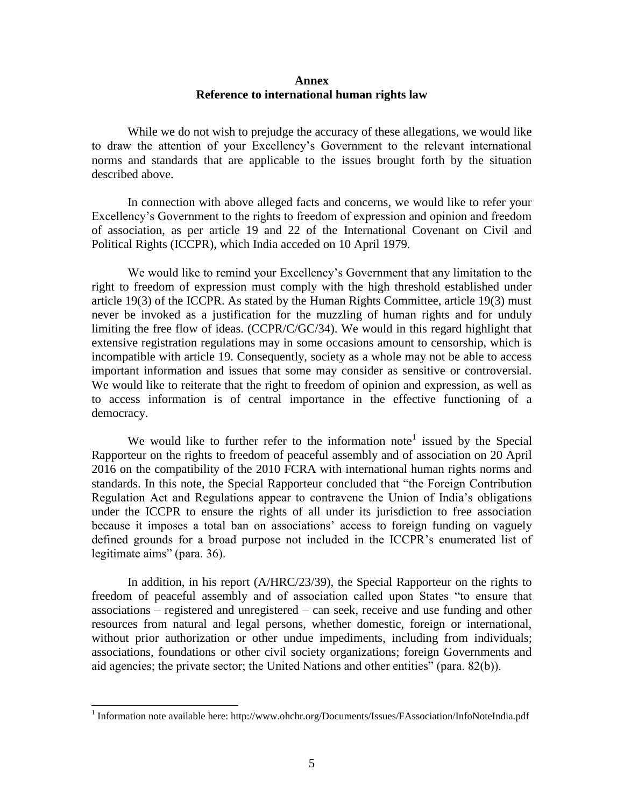## **Annex Reference to international human rights law**

While we do not wish to prejudge the accuracy of these allegations, we would like to draw the attention of your Excellency's Government to the relevant international norms and standards that are applicable to the issues brought forth by the situation described above.

In connection with above alleged facts and concerns, we would like to refer your Excellency's Government to the rights to freedom of expression and opinion and freedom of association, as per article 19 and 22 of the International Covenant on Civil and Political Rights (ICCPR), which India acceded on 10 April 1979.

We would like to remind your Excellency's Government that any limitation to the right to freedom of expression must comply with the high threshold established under article 19(3) of the ICCPR. As stated by the Human Rights Committee, article 19(3) must never be invoked as a justification for the muzzling of human rights and for unduly limiting the free flow of ideas. (CCPR/C/GC/34). We would in this regard highlight that extensive registration regulations may in some occasions amount to censorship, which is incompatible with article 19. Consequently, society as a whole may not be able to access important information and issues that some may consider as sensitive or controversial. We would like to reiterate that the right to freedom of opinion and expression, as well as to access information is of central importance in the effective functioning of a democracy.

We would like to further refer to the information note<sup>1</sup> issued by the Special Rapporteur on the rights to freedom of peaceful assembly and of association on 20 April 2016 on the compatibility of the 2010 FCRA with international human rights norms and standards. In this note, the Special Rapporteur concluded that "the Foreign Contribution Regulation Act and Regulations appear to contravene the Union of India's obligations under the ICCPR to ensure the rights of all under its jurisdiction to free association because it imposes a total ban on associations' access to foreign funding on vaguely defined grounds for a broad purpose not included in the ICCPR's enumerated list of legitimate aims" (para. 36).

In addition, in his report (A/HRC/23/39), the Special Rapporteur on the rights to freedom of peaceful assembly and of association called upon States "to ensure that associations – registered and unregistered – can seek, receive and use funding and other resources from natural and legal persons, whether domestic, foreign or international, without prior authorization or other undue impediments, including from individuals; associations, foundations or other civil society organizations; foreign Governments and aid agencies; the private sector; the United Nations and other entities" (para. 82(b)).

 1 Information note available here: http://www.ohchr.org/Documents/Issues/FAssociation/InfoNoteIndia.pdf